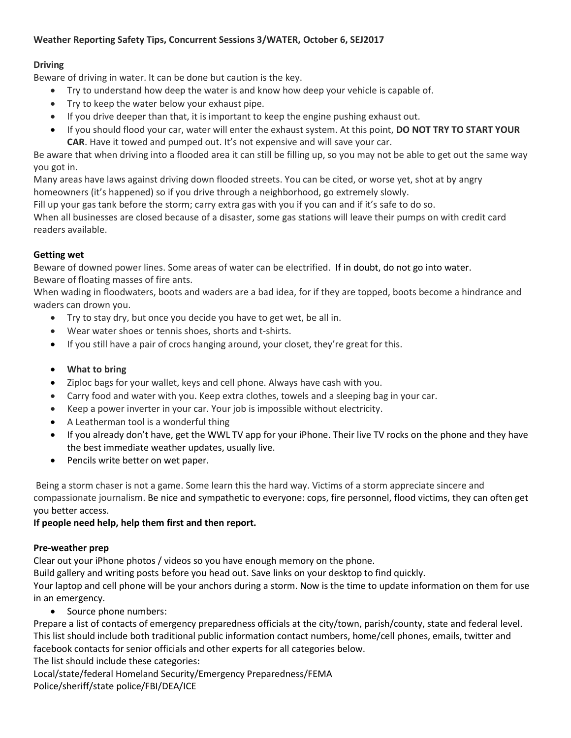### **Weather Reporting Safety Tips, Concurrent Sessions 3/WATER, October 6, SEJ2017**

# **Driving**

Beware of driving in water. It can be done but caution is the key.

- Try to understand how deep the water is and know how deep your vehicle is capable of.
- Try to keep the water below your exhaust pipe.
- If you drive deeper than that, it is important to keep the engine pushing exhaust out.
- If you should flood your car, water will enter the exhaust system. At this point, **DO NOT TRY TO START YOUR CAR**. Have it towed and pumped out. It's not expensive and will save your car.

Be aware that when driving into a flooded area it can still be filling up, so you may not be able to get out the same way you got in.

Many areas have laws against driving down flooded streets. You can be cited, or worse yet, shot at by angry homeowners (it's happened) so if you drive through a neighborhood, go extremely slowly.

Fill up your gas tank before the storm; carry extra gas with you if you can and if it's safe to do so.

When all businesses are closed because of a disaster, some gas stations will leave their pumps on with credit card readers available.

## **Getting wet**

Beware of downed power lines. Some areas of water can be electrified. If in doubt, do not go into water. Beware of floating masses of fire ants.

When wading in floodwaters, boots and waders are a bad idea, for if they are topped, boots become a hindrance and waders can drown you.

- Try to stay dry, but once you decide you have to get wet, be all in.
- Wear water shoes or tennis shoes, shorts and t-shirts.
- If you still have a pair of crocs hanging around, your closet, they're great for this.
- **What to bring**
- Ziploc bags for your wallet, keys and cell phone. Always have cash with you.
- Carry food and water with you. Keep extra clothes, towels and a sleeping bag in your car.
- Keep a power inverter in your car. Your job is impossible without electricity.
- A Leatherman tool is a wonderful thing
- If you already don't have, get the WWL TV app for your iPhone. Their live TV rocks on the phone and they have the best immediate weather updates, usually live.
- Pencils write better on wet paper.

Being a storm chaser is not a game. Some learn this the hard way. Victims of a storm appreciate sincere and compassionate journalism. Be nice and sympathetic to everyone: cops, fire personnel, flood victims, they can often get you better access.

### **If people need help, help them first and then report.**

### **Pre-weather prep**

Clear out your iPhone photos / videos so you have enough memory on the phone.

Build gallery and writing posts before you head out. Save links on your desktop to find quickly.

Your laptop and cell phone will be your anchors during a storm. Now is the time to update information on them for use in an emergency.

• Source phone numbers:

Prepare a list of contacts of emergency preparedness officials at the city/town, parish/county, state and federal level. This list should include both traditional public information contact numbers, home/cell phones, emails, twitter and facebook contacts for senior officials and other experts for all categories below.

The list should include these categories:

Local/state/federal Homeland Security/Emergency Preparedness/FEMA Police/sheriff/state police/FBI/DEA/ICE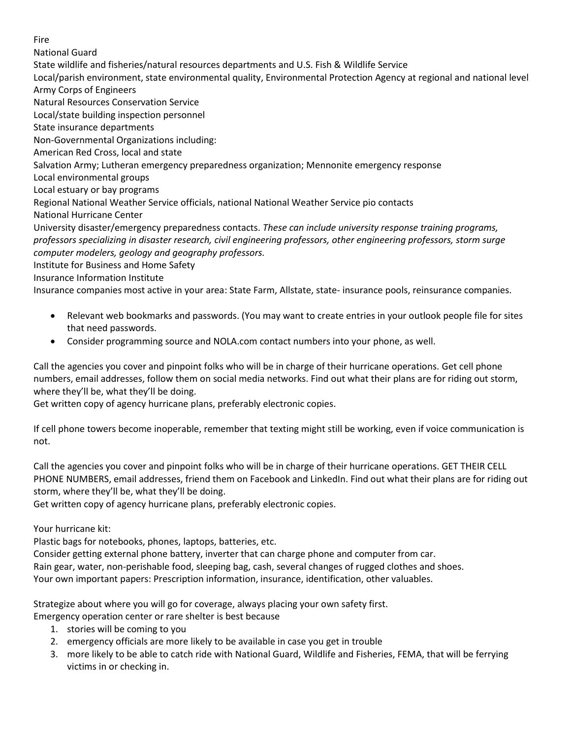#### Fire

National Guard State wildlife and fisheries/natural resources departments and U.S. Fish & Wildlife Service Local/parish environment, state environmental quality, Environmental Protection Agency at regional and national level Army Corps of Engineers Natural Resources Conservation Service Local/state building inspection personnel State insurance departments Non-Governmental Organizations including: American Red Cross, local and state Salvation Army; Lutheran emergency preparedness organization; Mennonite emergency response Local environmental groups Local estuary or bay programs Regional National Weather Service officials, national National Weather Service pio contacts National Hurricane Center University disaster/emergency preparedness contacts. *These can include university response training programs, professors specializing in disaster research, civil engineering professors, other engineering professors, storm surge computer modelers, geology and geography professors.* Institute for Business and Home Safety Insurance Information Institute

Insurance companies most active in your area: State Farm, Allstate, state- insurance pools, reinsurance companies.

- Relevant web bookmarks and passwords. (You may want to create entries in your outlook people file for sites that need passwords.
- Consider programming source and NOLA.com contact numbers into your phone, as well.

Call the agencies you cover and pinpoint folks who will be in charge of their hurricane operations. Get cell phone numbers, email addresses, follow them on social media networks. Find out what their plans are for riding out storm, where they'll be, what they'll be doing.

Get written copy of agency hurricane plans, preferably electronic copies.

If cell phone towers become inoperable, remember that texting might still be working, even if voice communication is not.

Call the agencies you cover and pinpoint folks who will be in charge of their hurricane operations. GET THEIR CELL PHONE NUMBERS, email addresses, friend them on Facebook and LinkedIn. Find out what their plans are for riding out storm, where they'll be, what they'll be doing.

Get written copy of agency hurricane plans, preferably electronic copies.

### Your hurricane kit:

Plastic bags for notebooks, phones, laptops, batteries, etc.

Consider getting external phone battery, inverter that can charge phone and computer from car. Rain gear, water, non-perishable food, sleeping bag, cash, several changes of rugged clothes and shoes. Your own important papers: Prescription information, insurance, identification, other valuables.

Strategize about where you will go for coverage, always placing your own safety first.

Emergency operation center or rare shelter is best because

- 1. stories will be coming to you
- 2. emergency officials are more likely to be available in case you get in trouble
- 3. more likely to be able to catch ride with National Guard, Wildlife and Fisheries, FEMA, that will be ferrying victims in or checking in.